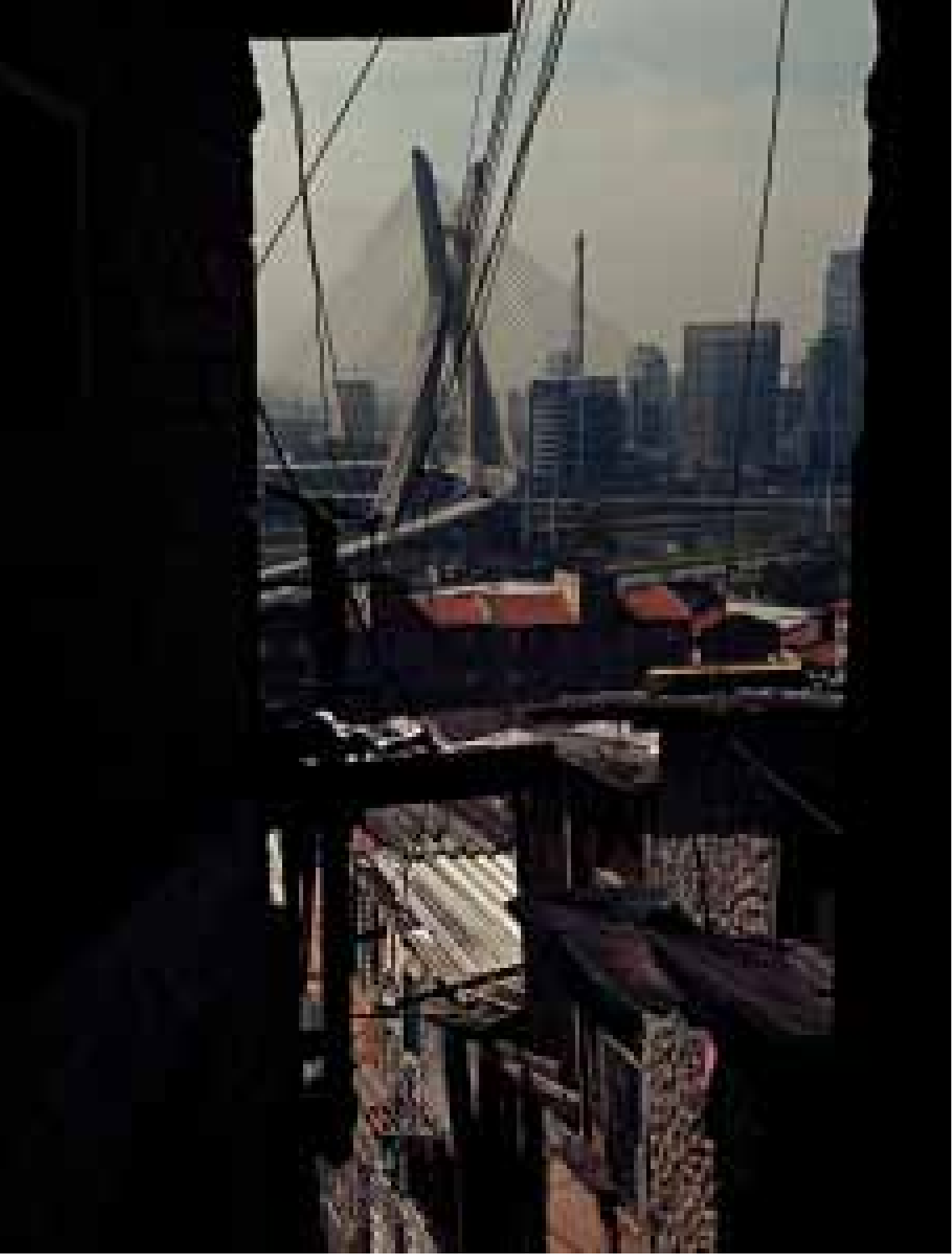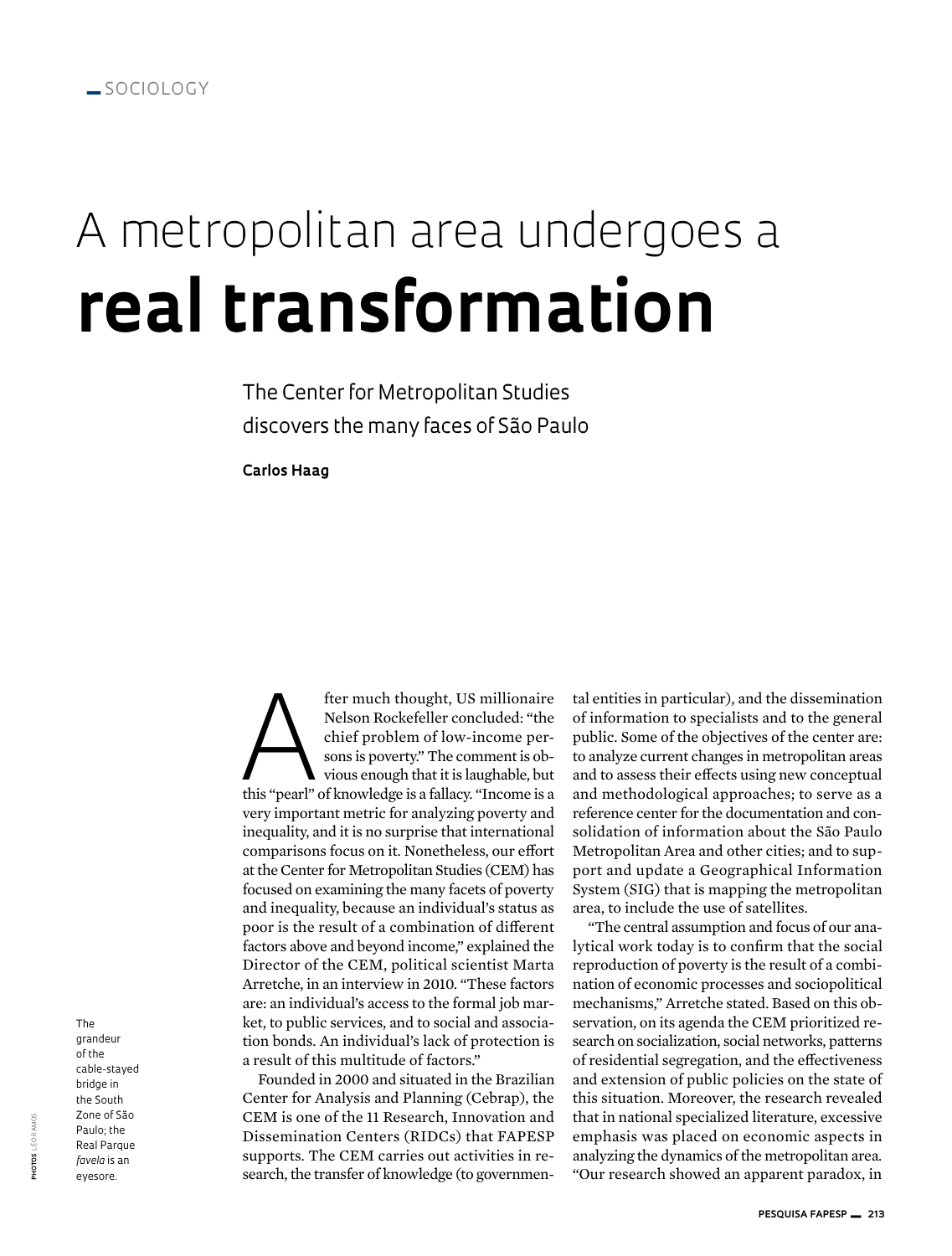# A metropolitan area undergoes a **real transformation**

The Center for Metropolitan Studies discovers the many faces of São Paulo

**Carlos Haag**

fter much thought, US millionaire<br>
Nelson Rockefeller concluded: "the<br>
chief problem of low-income per-<br>
sons is poverty." The comment is ob-<br>
vious enough that it is laughable, but<br>
this "pearl" of knowledge is a fallacy. Nelson Rockefeller concluded: "the chief problem of low-income persons is poverty." The comment is obvious enough that it is laughable, but very important metric for analyzing poverty and inequality, and it is no surprise that international comparisons focus on it. Nonetheless, our effort at the Center for Metropolitan Studies (CEM) has focused on examining the many facets of poverty and inequality, because an individual's status as poor is the result of a combination of different factors above and beyond income," explained the Director of the CEM, political scientist Marta Arretche, in an interview in 2010. "These factors are: an individual's access to the formal job market, to public services, and to social and association bonds. An individual's lack of protection is a result of this multitude of factors."

Founded in 2000 and situated in the Brazilian Center for Analysis and Planning (Cebrap), the CEM is one of the 11 Research, Innovation and Dissemination Centers (RIDCs) that FAPESP supports. The CEM carries out activities in research, the transfer of knowledge (to governmental entities in particular), and the dissemination of information to specialists and to the general public. Some of the objectives of the center are: to analyze current changes in metropolitan areas and to assess their effects using new conceptual and methodological approaches; to serve as a reference center for the documentation and consolidation of information about the São Paulo Metropolitan Area and other cities; and to support and update a Geographical Information System (SIG) that is mapping the metropolitan area, to include the use of satellites.

"The central assumption and focus of our analytical work today is to confirm that the social reproduction of poverty is the result of a combination of economic processes and sociopolitical mechanisms," Arretche stated. Based on this observation, on its agenda the CEM prioritized research on socialization, social networks, patterns of residential segregation, and the effectiveness and extension of public policies on the state of this situation. Moreover, the research revealed that in national specialized literature, excessive emphasis was placed on economic aspects in analyzing the dynamics of the metropolitan area. "Our research showed an apparent paradox, in

The grandeur of the cable-stayed bridge in the South Zone of São Paulo; the Real Parque *favela* is an eyesore.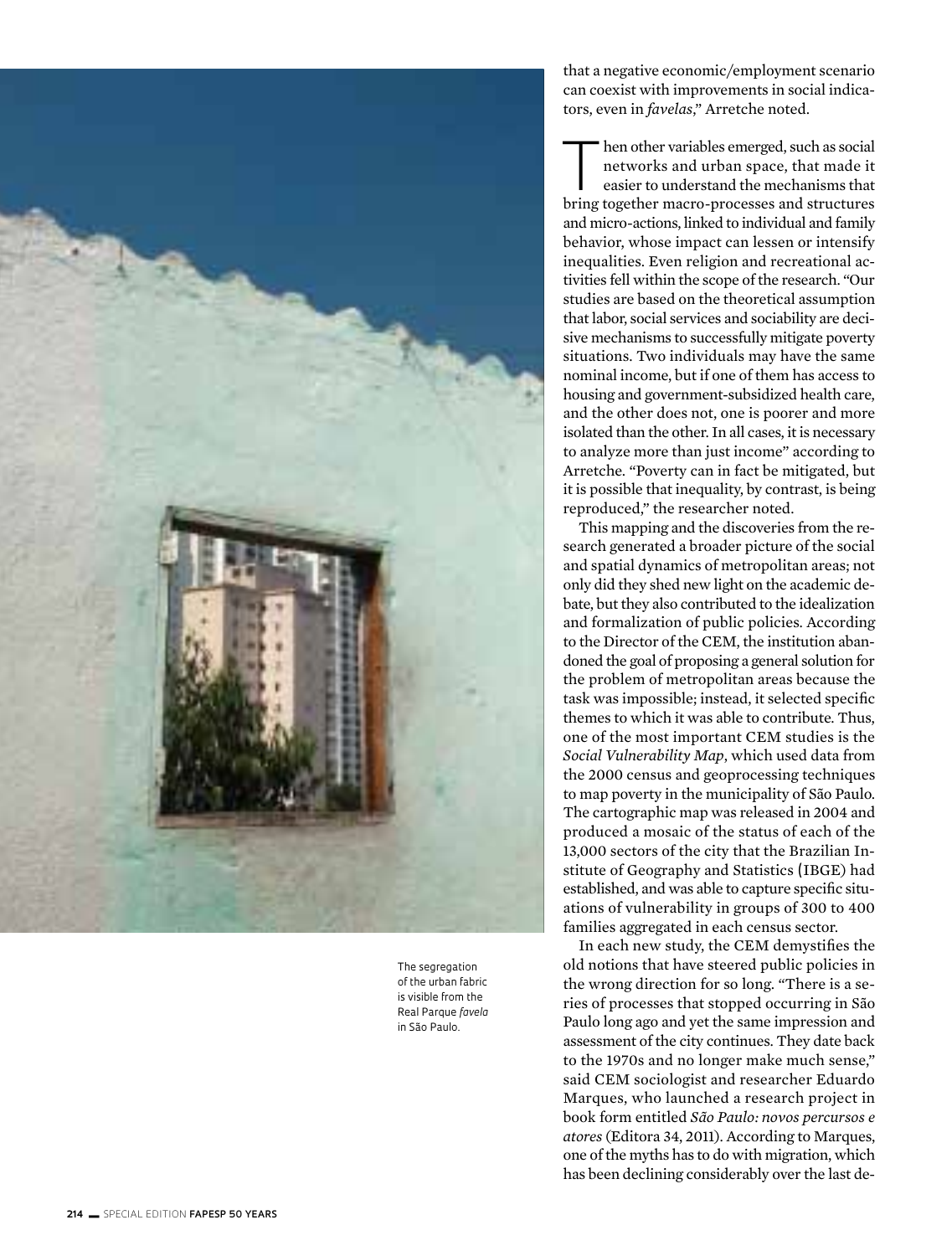

The segregation of the urban fabric is visible from the Real Parque *favela* in São Paulo.

that a negative economic/employment scenario can coexist with improvements in social indica tors, even in *favelas*," Arretche noted.

Then other variables emerged, such as social networks and urban space, that made it easier to understand the mechanisms that networks and urban space, that made it easier to understand the mechanisms that bring together macro-processes and structures and micro-actions, linked to individual and family behavior, whose impact can lessen or intensify inequalities. Even religion and recreational ac tivities fell within the scope of the research. "Our studies are based on the theoretical assumption that labor, social services and sociability are deci sive mechanisms to successfully mitigate poverty situations. Two individuals may have the same nominal income, but if one of them has access to housing and government-subsidized health care, and the other does not, one is poorer and more isolated than the other. In all cases, it is necessary to analyze more than just income" according to Arretche. "Poverty can in fact be mitigated, but it is possible that inequality, by contrast, is being reproduced," the researcher noted.

This mapping and the discoveries from the re search generated a broader picture of the social and spatial dynamics of metropolitan areas; not only did they shed new light on the academic de bate, but they also contributed to the idealization and formalization of public policies. According to the Director of the CEM, the institution aban doned the goal of proposing a general solution for the problem of metropolitan areas because the task was impossible; instead, it selected specific themes to which it was able to contribute. Thus, one of the most important CEM studies is the *Social Vulnerability Map*, which used data from the 2000 census and geoprocessing techniques to map poverty in the municipality of São Paulo. The cartographic map was released in 2004 and produced a mosaic of the status of each of the 13,000 sectors of the city that the Brazilian In stitute of Geography and Statistics (IBGE) had established, and was able to capture specific situ ations of vulnerability in groups of 300 to 400 families aggregated in each census sector.

In each new study, the CEM demystifies the old notions that have steered public policies in the wrong direction for so long. "There is a se ries of processes that stopped occurring in São Paulo long ago and yet the same impression and assessment of the city continues. They date back to the 1970s and no longer make much sense," said CEM sociologist and researcher Eduardo Marques, who launched a research project in book form entitled *São Paulo: novos percursos e atores* (Editora 34, 2011). According to Marques, one of the myths has to do with migration, which has been declining considerably over the last de -